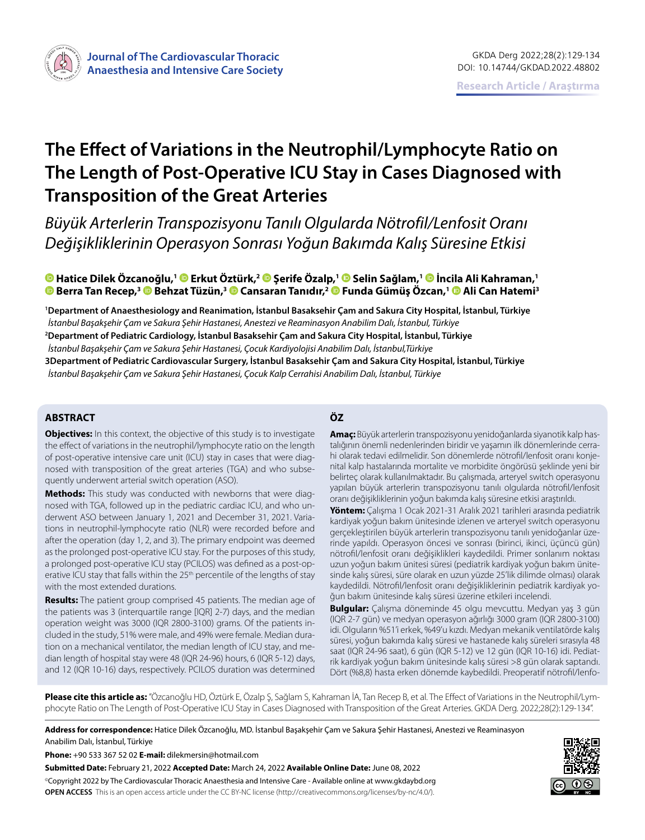

# **The Effect of Variations in the Neutrophil/Lymphocyte Ratio on The Length of Post-Operative ICU Stay in Cases Diagnosed with Transposition of the Great Arteries**

*Büyük Arterlerin Transpozisyonu Tanılı Olgularda Nötrofil/Lenfosit Oranı Değişikliklerinin Operasyon Sonrası Yoğun Bakımda Kalış Süresine Etkisi*

**Hatice Dilek Özcanoğlu,1Erkut Öztürk,2Şerife Özalp,1Selin Sağlam,1İncila Ali Kahraman,1 Berra Tan Recep,[3 B](https://orcid.org/0000-0002-0014-8641)ehzat Tüzün,3Cansaran Tanıdır,2Funda Gümüş Özcan,1 [A](https://orcid.org/0000-0002-6202-3262)li Can Hatemi3**

**1 Department of Anaesthesiology and Reanimation, İstanbul Basaksehir Çam and Sakura City Hospital, İstanbul, Türkiye** *İstanbul Başakşehir Çam ve Sakura Şehir Hastanesi, Anestezi ve Reaminasyon Anabilim Dalı, İstanbul, Türkiye* **2 Department of Pediatric Cardiology, İstanbul Basaksehir Çam and Sakura City Hospital, İstanbul, Türkiye** *İstanbul Başakşehir Çam ve Sakura Şehir Hastanesi, Çocuk Kardiyolojisi Anabilim Dalı, İstanbul,Türkiye* **3Department of Pediatric Cardiovascular Surgery, İstanbul Basaksehir Çam and Sakura City Hospital, İstanbul, Türkiye** *İstanbul Başakşehir Çam ve Sakura Şehir Hastanesi, Çocuk Kalp Cerrahisi Anabilim Dalı, İstanbul, Türkiye*

# **ABSTRACT ÖZ**

**Objectives:** In this context, the objective of this study is to investigate the effect of variations in the neutrophil/lymphocyte ratio on the length of post-operative intensive care unit (ICU) stay in cases that were diagnosed with transposition of the great arteries (TGA) and who subsequently underwent arterial switch operation (ASO).

**Methods:** This study was conducted with newborns that were diagnosed with TGA, followed up in the pediatric cardiac ICU, and who underwent ASO between January 1, 2021 and December 31, 2021. Variations in neutrophil-lymphocyte ratio (NLR) were recorded before and after the operation (day 1, 2, and 3). The primary endpoint was deemed as the prolonged post-operative ICU stay. For the purposes of this study, a prolonged post-operative ICU stay (PCILOS) was defined as a post-operative ICU stay that falls within the 25<sup>th</sup> percentile of the lengths of stay with the most extended durations.

**Results:** The patient group comprised 45 patients. The median age of the patients was 3 (interquartile range [IQR] 2-7) days, and the median operation weight was 3000 (IQR 2800-3100) grams. Of the patients included in the study, 51% were male, and 49% were female. Median duration on a mechanical ventilator, the median length of ICU stay, and median length of hospital stay were 48 (IQR 24-96) hours, 6 (IQR 5-12) days, and 12 (IQR 10-16) days, respectively. PCILOS duration was determined

**Amaç:** Büyük arterlerin transpozisyonu yenidoğanlarda siyanotik kalp hastalığının önemli nedenlerinden biridir ve yaşamın ilk dönemlerinde cerrahi olarak tedavi edilmelidir. Son dönemlerde nötrofil/lenfosit oranı konjenital kalp hastalarında mortalite ve morbidite öngörüsü şeklinde yeni bir belirteç olarak kullanılmaktadır. Bu çalışmada, arteryel switch operasyonu yapılan büyük arterlerin transpozisyonu tanılı olgularda nötrofil/lenfosit oranı değişikliklerinin yoğun bakımda kalış süresine etkisi araştırıldı.

**Yöntem:** Çalışma 1 Ocak 2021-31 Aralık 2021 tarihleri arasında pediatrik kardiyak yoğun bakım ünitesinde izlenen ve arteryel switch operasyonu gerçekleştirilen büyük arterlerin transpozisyonu tanılı yenidoğanlar üzerinde yapıldı. Operasyon öncesi ve sonrası (birinci, ikinci, üçüncü gün) nötrofil/lenfosit oranı değişiklikleri kaydedildi. Primer sonlanım noktası uzun yoğun bakım ünitesi süresi (pediatrik kardiyak yoğun bakım ünitesinde kalış süresi, süre olarak en uzun yüzde 25'lik dilimde olması) olarak kaydedildi. Nötrofil/lenfosit oranı değişikliklerinin pediatrik kardiyak yoğun bakım ünitesinde kalış süresi üzerine etkileri incelendi.

**Bulgular:** Çalışma döneminde 45 olgu mevcuttu. Medyan yaş 3 gün (IQR 2-7 gün) ve medyan operasyon ağırlığı 3000 gram (IQR 2800-3100) idi. Olguların %51'i erkek, %49'u kızdı. Medyan mekanik ventilatörde kalış süresi, yoğun bakımda kalış süresi ve hastanede kalış süreleri sırasıyla 48 saat (IQR 24-96 saat), 6 gün (IQR 5-12) ve 12 gün (IQR 10-16) idi. Pediatrik kardiyak yoğun bakım ünitesinde kalış süresi >8 gün olarak saptandı. Dört (%8,8) hasta erken dönemde kaybedildi. Preoperatif nötrofil/lenfo-

**Please cite this article as:** "Özcanoğlu HD, Öztürk E, Özalp Ş, Sağlam S, Kahraman İA, Tan Recep B, et al. The Effect of Variations in the Neutrophil/Lymphocyte Ratio on The Length of Post-Operative ICU Stay in Cases Diagnosed with Transposition of the Great Arteries. GKDA Derg. 2022;28(2):129-134".

**Address for correspondence:** Hatice Dilek Özcanoğlu, MD. İstanbul Başakşehir Çam ve Sakura Şehir Hastanesi, Anestezi ve Reaminasyon Anabilim Dalı, İstanbul, Türkiye

**Phone:** +90 533 367 52 02 **E-mail:** dilekmersin@hotmail.com

**Submitted Date:** February 21, 2022 **Accepted Date:** March 24, 2022 **Available Online Date:** June 08, 2022 ©Copyright 2022 by The Cardiovascular Thoracic Anaesthesia and Intensive Care - Available online at www.gkdaybd.org **OPEN ACCESS** This is an open access article under the CC BY-NC license (http://creativecommons.org/licenses/by-nc/4.0/).

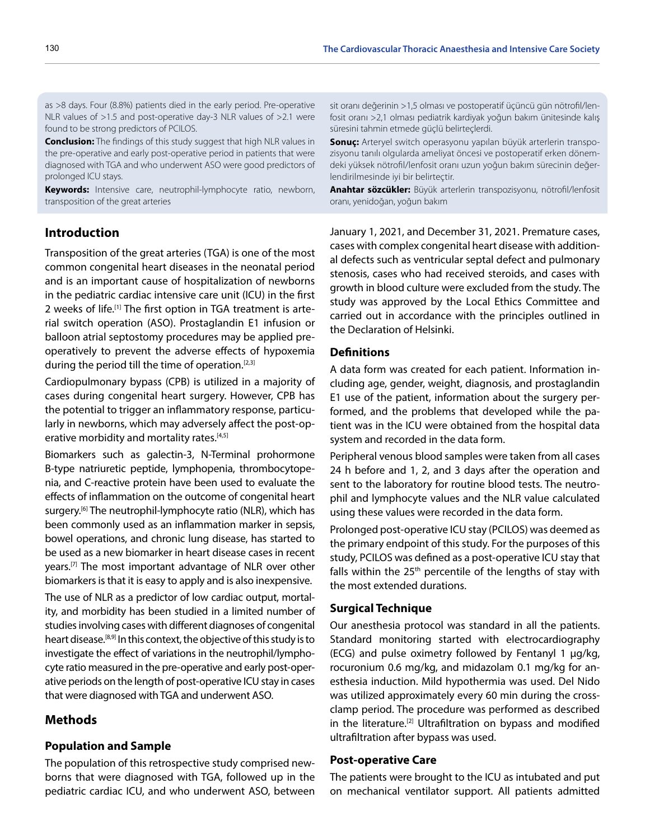as >8 days. Four (8.8%) patients died in the early period. Pre-operative NLR values of >1.5 and post-operative day-3 NLR values of >2.1 were found to be strong predictors of PCILOS.

**Conclusion:** The findings of this study suggest that high NLR values in the pre-operative and early post-operative period in patients that were diagnosed with TGA and who underwent ASO were good predictors of prolonged ICU stays.

**Keywords:** Intensive care, neutrophil-lymphocyte ratio, newborn, transposition of the great arteries

# **Introduction**

Transposition of the great arteries (TGA) is one of the most common congenital heart diseases in the neonatal period and is an important cause of hospitalization of newborns in the pediatric cardiac intensive care unit (ICU) in the first 2 weeks of life.<sup>[1]</sup> The first option in TGA treatment is arterial switch operation (ASO). Prostaglandin E1 infusion or balloon atrial septostomy procedures may be applied preoperatively to prevent the adverse effects of hypoxemia during the period till the time of operation.<sup>[2,3]</sup>

Cardiopulmonary bypass (CPB) is utilized in a majority of cases during congenital heart surgery. However, CPB has the potential to trigger an inflammatory response, particularly in newborns, which may adversely affect the post-operative morbidity and mortality rates.<sup>[4,5]</sup>

Biomarkers such as galectin-3, N-Terminal prohormone B-type natriuretic peptide, lymphopenia, thrombocytopenia, and C-reactive protein have been used to evaluate the effects of inflammation on the outcome of congenital heart surgery.<sup>[6]</sup> The neutrophil-lymphocyte ratio (NLR), which has been commonly used as an inflammation marker in sepsis, bowel operations, and chronic lung disease, has started to be used as a new biomarker in heart disease cases in recent years.<sup>[7]</sup> The most important advantage of NLR over other biomarkers is that it is easy to apply and is also inexpensive.

The use of NLR as a predictor of low cardiac output, mortality, and morbidity has been studied in a limited number of studies involving cases with different diagnoses of congenital heart disease.<sup>[8,9]</sup> In this context, the objective of this study is to investigate the effect of variations in the neutrophil/lymphocyte ratio measured in the pre-operative and early post-operative periods on the length of post-operative ICU stay in cases that were diagnosed with TGA and underwent ASO.

# **Methods**

# **Population and Sample**

The population of this retrospective study comprised newborns that were diagnosed with TGA, followed up in the pediatric cardiac ICU, and who underwent ASO, between

sit oranı değerinin >1,5 olması ve postoperatif üçüncü gün nötrofil/lenfosit oranı >2,1 olması pediatrik kardiyak yoğun bakım ünitesinde kalış süresini tahmin etmede güçlü belirteçlerdi.

**Sonuç:** Arteryel switch operasyonu yapılan büyük arterlerin transpozisyonu tanılı olgularda ameliyat öncesi ve postoperatif erken dönemdeki yüksek nötrofil/lenfosit oranı uzun yoğun bakım sürecinin değerlendirilmesinde iyi bir belirteçtir.

**Anahtar sözcükler:** Büyük arterlerin transpozisyonu, nötrofil/lenfosit oranı, yenidoğan, yoğun bakım

January 1, 2021, and December 31, 2021. Premature cases, cases with complex congenital heart disease with additional defects such as ventricular septal defect and pulmonary stenosis, cases who had received steroids, and cases with growth in blood culture were excluded from the study. The study was approved by the Local Ethics Committee and carried out in accordance with the principles outlined in the Declaration of Helsinki.

# **Definitions**

A data form was created for each patient. Information including age, gender, weight, diagnosis, and prostaglandin E1 use of the patient, information about the surgery performed, and the problems that developed while the patient was in the ICU were obtained from the hospital data system and recorded in the data form.

Peripheral venous blood samples were taken from all cases 24 h before and 1, 2, and 3 days after the operation and sent to the laboratory for routine blood tests. The neutrophil and lymphocyte values and the NLR value calculated using these values were recorded in the data form.

Prolonged post-operative ICU stay (PCILOS) was deemed as the primary endpoint of this study. For the purposes of this study, PCILOS was defined as a post-operative ICU stay that falls within the  $25<sup>th</sup>$  percentile of the lengths of stay with the most extended durations.

#### **Surgical Technique**

Our anesthesia protocol was standard in all the patients. Standard monitoring started with electrocardiography (ECG) and pulse oximetry followed by Fentanyl 1 μg/kg, rocuronium 0.6 mg/kg, and midazolam 0.1 mg/kg for anesthesia induction. Mild hypothermia was used. Del Nido was utilized approximately every 60 min during the crossclamp period. The procedure was performed as described in the literature.<sup>[2]</sup> Ultrafiltration on bypass and modified ultrafiltration after bypass was used.

#### **Post-operative Care**

The patients were brought to the ICU as intubated and put on mechanical ventilator support. All patients admitted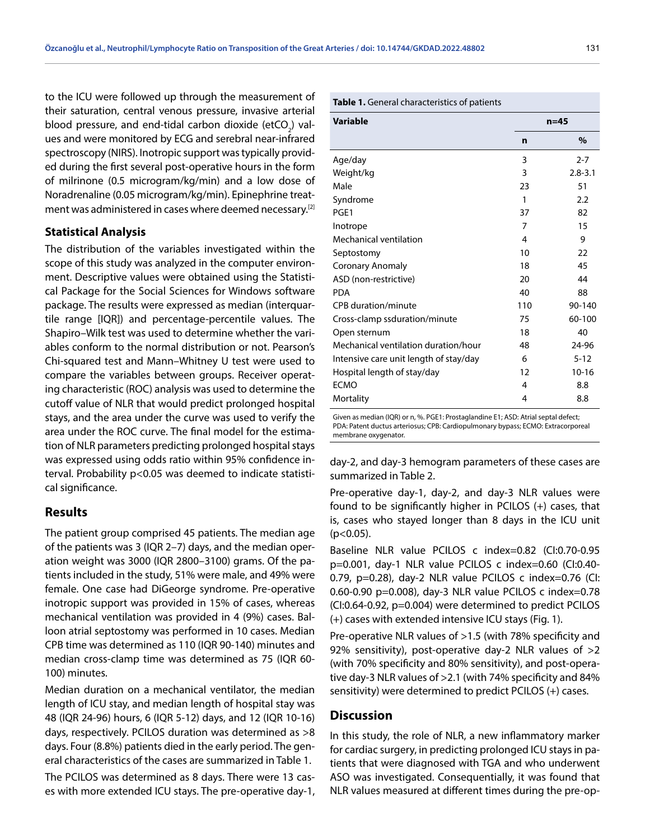to the ICU were followed up through the measurement of their saturation, central venous pressure, invasive arterial blood pressure, and end-tidal carbon dioxide (etCO<sub>2</sub>) values and were monitored by ECG and serebral near-infrared spectroscopy (NIRS). Inotropic support was typically provided during the first several post-operative hours in the form of milrinone (0.5 microgram/kg/min) and a low dose of Noradrenaline (0.05 microgram/kg/min). Epinephrine treatment was administered in cases where deemed necessary.[2]

#### **Statistical Analysis**

The distribution of the variables investigated within the scope of this study was analyzed in the computer environment. Descriptive values were obtained using the Statistical Package for the Social Sciences for Windows software package. The results were expressed as median (interquartile range [IQR]) and percentage-percentile values. The Shapiro–Wilk test was used to determine whether the variables conform to the normal distribution or not. Pearson's Chi-squared test and Mann–Whitney U test were used to compare the variables between groups. Receiver operating characteristic (ROC) analysis was used to determine the cutoff value of NLR that would predict prolonged hospital stays, and the area under the curve was used to verify the area under the ROC curve. The final model for the estimation of NLR parameters predicting prolonged hospital stays was expressed using odds ratio within 95% confidence interval. Probability p<0.05 was deemed to indicate statistical significance.

## **Results**

The patient group comprised 45 patients. The median age of the patients was 3 (IQR 2–7) days, and the median operation weight was 3000 (IQR 2800–3100) grams. Of the patients included in the study, 51% were male, and 49% were female. One case had DiGeorge syndrome. Pre-operative inotropic support was provided in 15% of cases, whereas mechanical ventilation was provided in 4 (9%) cases. Balloon atrial septostomy was performed in 10 cases. Median CPB time was determined as 110 (IQR 90-140) minutes and median cross-clamp time was determined as 75 (IQR 60- 100) minutes.

Median duration on a mechanical ventilator, the median length of ICU stay, and median length of hospital stay was 48 (IQR 24-96) hours, 6 (IQR 5-12) days, and 12 (IQR 10-16) days, respectively. PCILOS duration was determined as >8 days. Four (8.8%) patients died in the early period. The general characteristics of the cases are summarized in Table 1.

The PCILOS was determined as 8 days. There were 13 cases with more extended ICU stays. The pre-operative day-1,

| <b>Variable</b>                        |     | $n=45$      |
|----------------------------------------|-----|-------------|
|                                        | n   | $\%$        |
| Age/day                                | 3   | $2 - 7$     |
| Weight/kg                              | 3   | $2.8 - 3.1$ |
| Male                                   | 23  | 51          |
| Syndrome                               | 1   | 2.2         |
| PGE1                                   | 37  | 82          |
| Inotrope                               | 7   | 15          |
| Mechanical ventilation                 | 4   | 9           |
| Septostomy                             | 10  | 22          |
| Coronary Anomaly                       | 18  | 45          |
| ASD (non-restrictive)                  | 20  | 44          |
| <b>PDA</b>                             | 40  | 88          |
| CPB duration/minute                    | 110 | 90-140      |
| Cross-clamp ssduration/minute          | 75  | 60-100      |
| Open sternum                           | 18  | 40          |
| Mechanical ventilation duration/hour   | 48  | 24-96       |
| Intensive care unit length of stay/day | 6   | $5 - 12$    |
| Hospital length of stay/day            | 12  | $10 - 16$   |
| <b>ECMO</b>                            | 4   | 8.8         |
| Mortality                              | 4   | 8.8         |

Given as median (IQR) or n, %. PGE1: Prostaglandine E1; ASD: Atrial septal defect; PDA: Patent ductus arteriosus; CPB: Cardiopulmonary bypass; ECMO: Extracorporeal membrane oxygenator.

day-2, and day-3 hemogram parameters of these cases are summarized in Table 2.

Pre-operative day-1, day-2, and day-3 NLR values were found to be significantly higher in PCILOS (+) cases, that is, cases who stayed longer than 8 days in the ICU unit  $(p<0.05)$ .

Baseline NLR value PCILOS c index=0.82 (CI:0.70-0.95 p=0.001, day-1 NLR value PCILOS c index=0.60 (CI:0.40- 0.79, p=0.28), day-2 NLR value PCILOS c index=0.76 (CI: 0.60-0.90 p=0.008), day-3 NLR value PCILOS c index=0.78 (CI:0.64-0.92, p=0.004) were determined to predict PCILOS (+) cases with extended intensive ICU stays (Fig. 1).

Pre-operative NLR values of >1.5 (with 78% specificity and 92% sensitivity), post-operative day-2 NLR values of >2 (with 70% specificity and 80% sensitivity), and post-operative day-3 NLR values of >2.1 (with 74% specificity and 84% sensitivity) were determined to predict PCILOS (+) cases.

## **Discussion**

In this study, the role of NLR, a new inflammatory marker for cardiac surgery, in predicting prolonged ICU stays in patients that were diagnosed with TGA and who underwent ASO was investigated. Consequentially, it was found that NLR values measured at different times during the pre-op-

#### **Table 1.** General characteristics of patients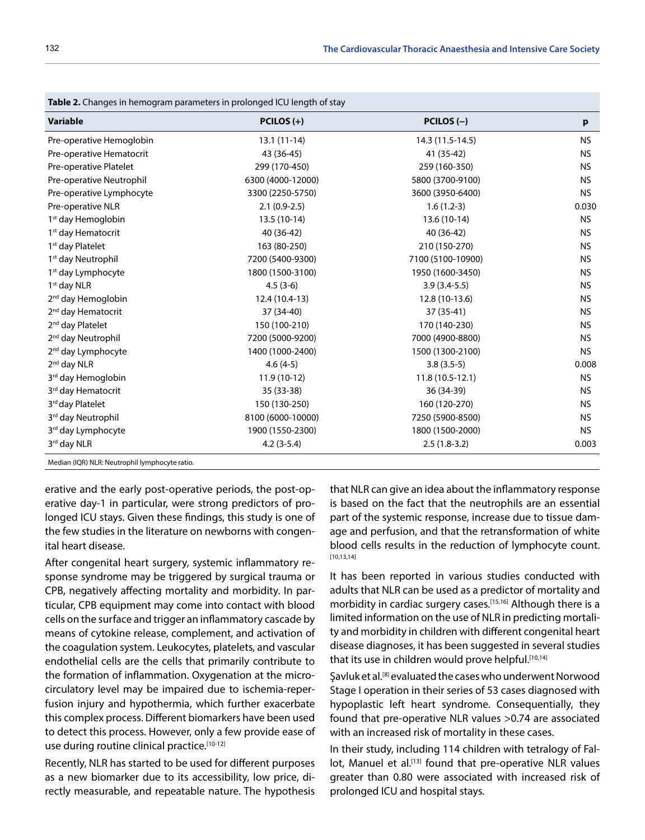| <b>Table 2.</b> Changes in hemogram parameters in prolonged ICU length of stay |                   |                   |           |  |
|--------------------------------------------------------------------------------|-------------------|-------------------|-----------|--|
| <b>Variable</b>                                                                | PCILOS $(+)$      | $PCILOS (-)$      | p         |  |
| Pre-operative Hemoglobin                                                       | $13.1(11-14)$     | 14.3 (11.5-14.5)  | <b>NS</b> |  |
| Pre-operative Hematocrit                                                       | 43 (36-45)        | 41 (35-42)        | <b>NS</b> |  |
| Pre-operative Platelet                                                         | 299 (170-450)     | 259 (160-350)     | <b>NS</b> |  |
| Pre-operative Neutrophil                                                       | 6300 (4000-12000) | 5800 (3700-9100)  | <b>NS</b> |  |
| Pre-operative Lymphocyte                                                       | 3300 (2250-5750)  | 3600 (3950-6400)  | <b>NS</b> |  |
| Pre-operative NLR                                                              | $2.1(0.9-2.5)$    | $1.6(1.2-3)$      | 0.030     |  |
| 1 <sup>st</sup> day Hemoglobin                                                 | 13.5 (10-14)      | 13.6 (10-14)      | <b>NS</b> |  |
| 1 <sup>st</sup> day Hematocrit                                                 | 40 (36-42)        | 40 (36-42)        | <b>NS</b> |  |
| 1 <sup>st</sup> day Platelet                                                   | 163 (80-250)      | 210 (150-270)     | <b>NS</b> |  |
| 1 <sup>st</sup> day Neutrophil                                                 | 7200 (5400-9300)  | 7100 (5100-10900) | <b>NS</b> |  |
| 1 <sup>st</sup> day Lymphocyte                                                 | 1800 (1500-3100)  | 1950 (1600-3450)  | NS.       |  |
| 1 <sup>st</sup> day NLR                                                        | $4.5(3-6)$        | $3.9(3.4-5.5)$    | <b>NS</b> |  |
| 2 <sup>nd</sup> day Hemoglobin                                                 | 12.4 (10.4-13)    | 12.8 (10-13.6)    | <b>NS</b> |  |
| 2 <sup>nd</sup> day Hematocrit                                                 | 37 (34-40)        | 37 (35-41)        | NS.       |  |
| 2 <sup>nd</sup> day Platelet                                                   | 150 (100-210)     | 170 (140-230)     | <b>NS</b> |  |
| 2 <sup>nd</sup> day Neutrophil                                                 | 7200 (5000-9200)  | 7000 (4900-8800)  | <b>NS</b> |  |
| 2 <sup>nd</sup> day Lymphocyte                                                 | 1400 (1000-2400)  | 1500 (1300-2100)  | <b>NS</b> |  |
| 2 <sup>nd</sup> day NLR                                                        | $4.6(4-5)$        | $3.8(3.5-5)$      | 0.008     |  |
| 3 <sup>rd</sup> day Hemoglobin                                                 | $11.9(10-12)$     | $11.8(10.5-12.1)$ | <b>NS</b> |  |
| 3rd day Hematocrit                                                             | 35 (33-38)        | 36 (34-39)        | <b>NS</b> |  |
| 3rd day Platelet                                                               | 150 (130-250)     | 160 (120-270)     | <b>NS</b> |  |
| 3rd day Neutrophil                                                             | 8100 (6000-10000) | 7250 (5900-8500)  | <b>NS</b> |  |
| 3rd day Lymphocyte                                                             | 1900 (1550-2300)  | 1800 (1500-2000)  | <b>NS</b> |  |
| 3rd day NLR                                                                    | $4.2(3-5.4)$      | $2.5(1.8-3.2)$    | 0.003     |  |
| Median (IQR) NLR: Neutrophil lymphocyte ratio.                                 |                   |                   |           |  |

**Table 2.** Changes in hemogram parameters in prolonged ICU length of stay

erative and the early post-operative periods, the post-operative day-1 in particular, were strong predictors of prolonged ICU stays. Given these findings, this study is one of the few studies in the literature on newborns with congenital heart disease.

After congenital heart surgery, systemic inflammatory response syndrome may be triggered by surgical trauma or CPB, negatively affecting mortality and morbidity. In particular, CPB equipment may come into contact with blood cells on the surface and trigger an inflammatory cascade by means of cytokine release, complement, and activation of the coagulation system. Leukocytes, platelets, and vascular endothelial cells are the cells that primarily contribute to the formation of inflammation. Oxygenation at the microcirculatory level may be impaired due to ischemia-reperfusion injury and hypothermia, which further exacerbate this complex process. Different biomarkers have been used to detect this process. However, only a few provide ease of use during routine clinical practice.<sup>[10-12]</sup>

Recently, NLR has started to be used for different purposes as a new biomarker due to its accessibility, low price, directly measurable, and repeatable nature. The hypothesis that NLR can give an idea about the inflammatory response is based on the fact that the neutrophils are an essential part of the systemic response, increase due to tissue damage and perfusion, and that the retransformation of white blood cells results in the reduction of lymphocyte count. [10,13,14]

It has been reported in various studies conducted with adults that NLR can be used as a predictor of mortality and morbidity in cardiac surgery cases.<sup>[15,16]</sup> Although there is a limited information on the use of NLR in predicting mortality and morbidity in children with different congenital heart disease diagnoses, it has been suggested in several studies that its use in children would prove helpful.<sup>[10,14]</sup>

Şavluk et al.[8] evaluated the cases who underwent Norwood Stage I operation in their series of 53 cases diagnosed with hypoplastic left heart syndrome. Consequentially, they found that pre-operative NLR values >0.74 are associated with an increased risk of mortality in these cases.

In their study, including 114 children with tetralogy of Fallot, Manuel et al.<sup>[13]</sup> found that pre-operative NLR values greater than 0.80 were associated with increased risk of prolonged ICU and hospital stays.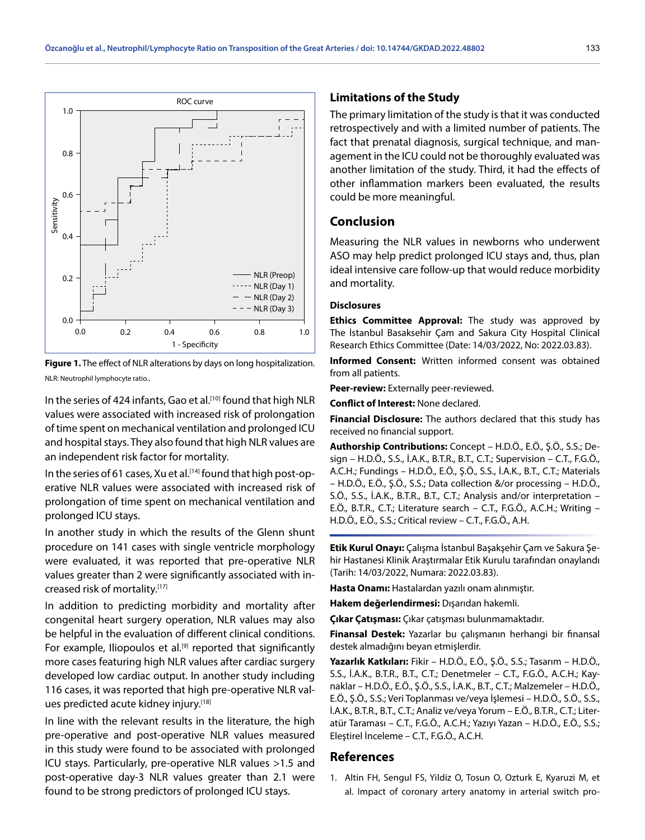

**Figure 1.** The effect of NLR alterations by days on long hospitalization. NLR: Neutrophil lymphocyte ratio..

In the series of 424 infants, Gao et al.<sup>[10]</sup> found that high NLR values were associated with increased risk of prolongation of time spent on mechanical ventilation and prolonged ICU and hospital stays. They also found that high NLR values are an independent risk factor for mortality.

In the series of 61 cases, Xu et al.<sup>[14]</sup> found that high post-operative NLR values were associated with increased risk of prolongation of time spent on mechanical ventilation and prolonged ICU stays.

In another study in which the results of the Glenn shunt procedure on 141 cases with single ventricle morphology were evaluated, it was reported that pre-operative NLR values greater than 2 were significantly associated with increased risk of mortality.<sup>[17]</sup>

In addition to predicting morbidity and mortality after congenital heart surgery operation, NLR values may also be helpful in the evaluation of different clinical conditions. For example, Iliopoulos et al.<sup>[9]</sup> reported that significantly more cases featuring high NLR values after cardiac surgery developed low cardiac output. In another study including 116 cases, it was reported that high pre-operative NLR values predicted acute kidney injury.[18]

In line with the relevant results in the literature, the high pre-operative and post-operative NLR values measured in this study were found to be associated with prolonged ICU stays. Particularly, pre-operative NLR values >1.5 and post-operative day-3 NLR values greater than 2.1 were found to be strong predictors of prolonged ICU stays.

#### **Limitations of the Study**

The primary limitation of the study is that it was conducted retrospectively and with a limited number of patients. The fact that prenatal diagnosis, surgical technique, and management in the ICU could not be thoroughly evaluated was another limitation of the study. Third, it had the effects of other inflammation markers been evaluated, the results could be more meaningful.

# **Conclusion**

Measuring the NLR values in newborns who underwent ASO may help predict prolonged ICU stays and, thus, plan ideal intensive care follow-up that would reduce morbidity and mortality.

#### **Disclosures**

**Ethics Committee Approval:** The study was approved by The İstanbul Basaksehir Çam and Sakura City Hospital Clinical Research Ethics Committee (Date: 14/03/2022, No: 2022.03.83).

**Informed Consent:** Written informed consent was obtained from all patients.

**Peer-review:** Externally peer-reviewed.

**Conflict of Interest:** None declared.

**Financial Disclosure:** The authors declared that this study has received no financial support.

**Authorship Contributions:** Concept – H.D.Ö., E.Ö., Ş.Ö., S.S.; Design – H.D.Ö., S.S., İ.A.K., B.T.R., B.T., C.T.; Supervision – C.T., F.G.Ö., A.C.H.; Fundings – H.D.Ö., E.Ö., Ş.Ö., S.S., İ.A.K., B.T., C.T.; Materials – H.D.Ö., E.Ö., Ş.Ö., S.S.; Data collection &/or processing – H.D.Ö., S.Ö., S.S., İ.A.K., B.T.R., B.T., C.T.; Analysis and/or interpretation – E.Ö., B.T.R., C.T.; Literature search – C.T., F.G.Ö., A.C.H.; Writing – H.D.Ö., E.Ö., S.S.; Critical review – C.T., F.G.Ö., A.H.

**Etik Kurul Onayı:** Çalışma İstanbul Başakşehir Çam ve Sakura Şehir Hastanesi Klinik Araştırmalar Etik Kurulu tarafından onaylandı (Tarih: 14/03/2022, Numara: 2022.03.83).

**Hasta Onamı:** Hastalardan yazılı onam alınmıştır.

**Hakem değerlendirmesi:** Dışarıdan hakemli.

**Çıkar Çatışması:** Çıkar çatışması bulunmamaktadır.

**Finansal Destek:** Yazarlar bu çalışmanın herhangi bir finansal destek almadığını beyan etmişlerdir.

**Yazarlık Katkıları:** Fikir – H.D.Ö., E.Ö., Ş.Ö., S.S.; Tasarım – H.D.Ö., S.S., İ.A.K., B.T.R., B.T., C.T.; Denetmeler – C.T., F.G.Ö., A.C.H.; Kaynaklar – H.D.Ö., E.Ö., Ş.Ö., S.S., İ.A.K., B.T., C.T.; Malzemeler – H.D.Ö., E.Ö., Ş.Ö., S.S.; Veri Toplanması ve/veya İşlemesi – H.D.Ö., S.Ö., S.S., İ.A.K., B.T.R., B.T., C.T.; Analiz ve/veya Yorum – E.Ö., B.T.R., C.T.; Literatür Taraması – C.T., F.G.Ö., A.C.H.; Yazıyı Yazan – H.D.Ö., E.Ö., S.S.; Eleştirel İnceleme – C.T., F.G.Ö., A.C.H.

# **References**

1. Altin FH, Sengul FS, Yildiz O, Tosun O, Ozturk E, Kyaruzi M, et al. Impact of coronary artery anatomy in arterial switch pro